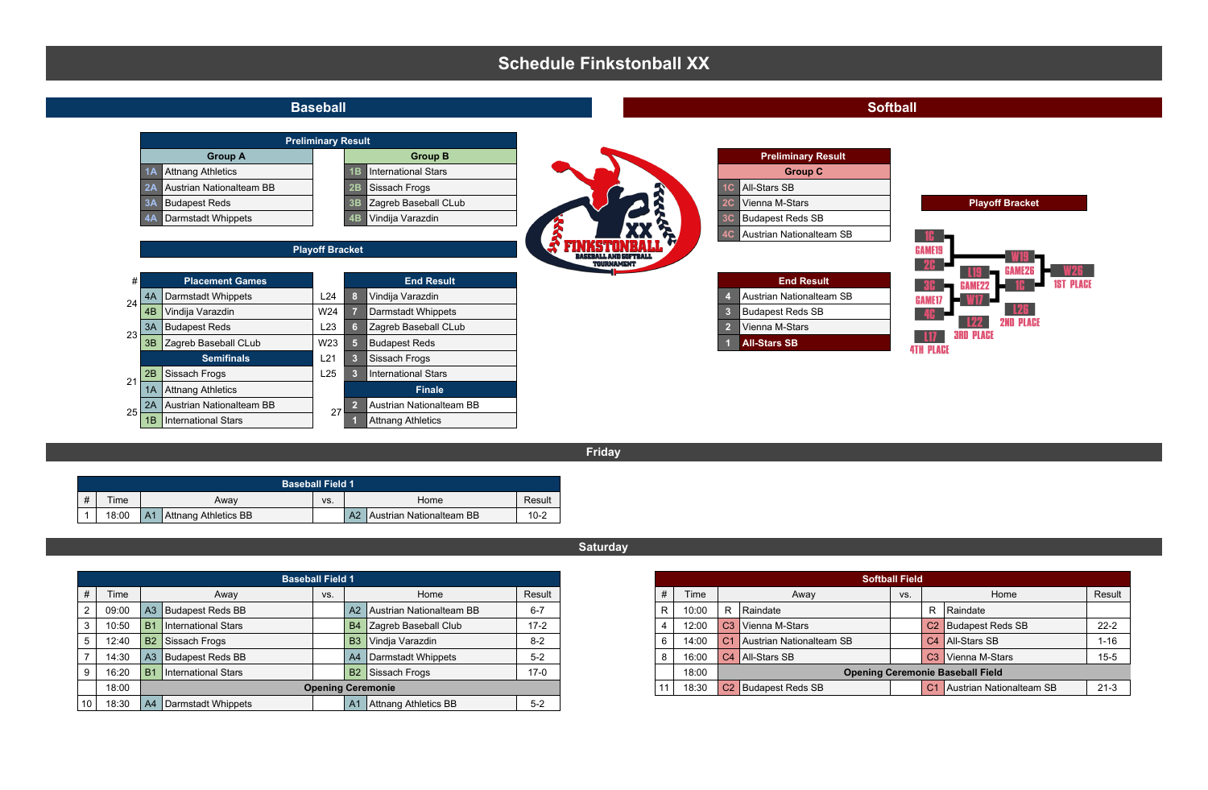## **Schedule Finkstonball XX**



**Friday**

|   | <b>Baseball Field 1</b> |    |                      |     |    |                          |          |  |  |  |  |  |  |
|---|-------------------------|----|----------------------|-----|----|--------------------------|----------|--|--|--|--|--|--|
| # | Time                    |    | Awav                 | VS. |    | Result<br>Home           |          |  |  |  |  |  |  |
|   | 18:00                   | A1 | Attnang Athletics BB |     | A2 | Austrian Nationalteam BB | $10 - 2$ |  |  |  |  |  |  |

|       | <b>Baseball Field 1</b>          |     |                                   |         | <b>Softball Field</b>                            |                                 |                               |     |                             |                                 |          |
|-------|----------------------------------|-----|-----------------------------------|---------|--------------------------------------------------|---------------------------------|-------------------------------|-----|-----------------------------|---------------------------------|----------|
| Time  | Away                             | VS. | Home                              | Result  | Time                                             |                                 | Away                          | VS. |                             | Home                            | Result   |
| 09:00 | A3 Budapest Reds BB              |     | A2 Austrian Nationalteam BB       | $6 - 7$ | 10:00                                            |                                 | Raindate<br>R                 |     |                             | Raindate                        |          |
| 10:50 | International Stars<br><b>B1</b> |     | Zagreb Baseball Club<br><b>B4</b> | $17-2$  | 12:00                                            |                                 | C <sub>3</sub> Vienna M-Stars |     |                             | C <sub>2</sub> Budapest Reds SB | $22 - 2$ |
| 12:40 | B <sub>2</sub> Sissach Frogs     |     | Vindia Varazdin<br>  B3           | $8-2$   | 14:00                                            |                                 | Austrian Nationalteam SB      |     |                             | C4 All-Stars SB                 | $1 - 16$ |
| 14:30 | A3 Budapest Reds BB              |     | Darmstadt Whippets<br>  A4        | $5-2$   | 16:00                                            |                                 | C4 All-Stars SB               |     |                             | C <sub>3</sub> Vienna M-Stars   | $15 - 5$ |
| 16:20 | International Stars<br>B1        |     | B2 Sissach Frogs                  | $17-0$  | 18:00<br><b>Opening Ceremonie Baseball Field</b> |                                 |                               |     |                             |                                 |          |
| 18:00 |                                  |     | <b>Opening Ceremonie</b>          | 18:30   |                                                  | C <sub>2</sub> Budapest Reds SB |                               |     | C1 Austrian Nationalteam SB | $21-3$                          |          |
| 18:30 | A4   Darmstadt Whippets          |     | Attnang Athletics BB<br><b>A1</b> | $5-2$   |                                                  |                                 |                               |     |                             |                                 |          |

## **Saturday**

|                                   |  | <b>Baseball Field 1</b> |     |  |                                    |        | <b>Softball Field</b> |       |                                         |                                 |     |                                 |                             |  |
|-----------------------------------|--|-------------------------|-----|--|------------------------------------|--------|-----------------------|-------|-----------------------------------------|---------------------------------|-----|---------------------------------|-----------------------------|--|
| Time                              |  | Away                    | VS. |  | Home                               | Result |                       | Time  |                                         | Away                            | VS. |                                 | Home                        |  |
| 09:00                             |  | A3 Budapest Reds BB     |     |  | A2 Austrian Nationalteam BB<br>6-7 |        |                       | 10:00 | R                                       | Raindate                        |     |                                 | Raindate                    |  |
| 10:50                             |  | International Stars     |     |  | B4 Zagreb Baseball Club            |        | 12:00                 |       | C3 Vienna M-Stars                       |                                 |     | C <sub>2</sub> Budapest Reds SB |                             |  |
| 12:40                             |  | B2 Sissach Frogs        |     |  | B3 Vindia Varazdin                 | $8-2$  |                       | 14:00 |                                         | C1 Austrian Nationalteam SB     |     |                                 | C4 All-Stars SB             |  |
| 14:30                             |  | A3 Budapest Reds BB     |     |  | A4 Darmstadt Whippets              | $5-2$  |                       | 16:00 | C3 Vienna M-Stars<br>C4 All-Stars SB    |                                 |     |                                 |                             |  |
| 16:20                             |  | International Stars     |     |  | B <sub>2</sub> Sissach Frogs       | $17-0$ |                       | 18:00 | <b>Opening Ceremonie Baseball Field</b> |                                 |     |                                 |                             |  |
| 18:00<br><b>Opening Ceremonie</b> |  |                         |     |  |                                    |        |                       | 18:30 |                                         | C <sub>2</sub> Budapest Reds SB |     |                                 | C1 Austrian Nationalteam SB |  |